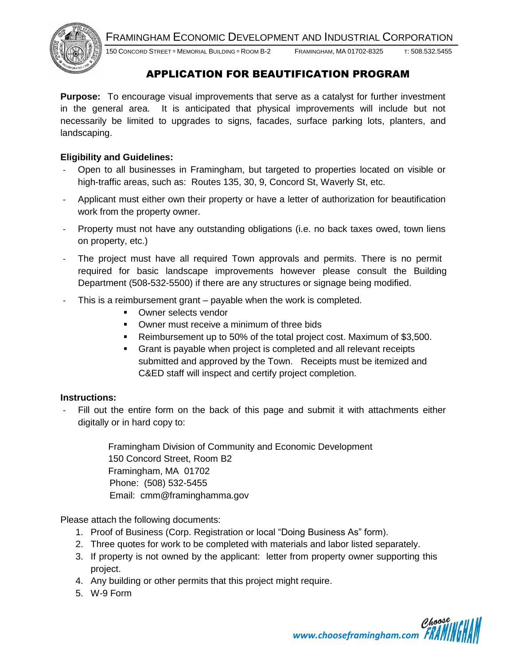FRAMINGHAM ECONOMIC DEVELOPMENT AND INDUSTRIAL CORPORATION



150 CONCORD STREET MEMORIAL BUILDING ROOM B-2 FRAMINGHAM, MA 01702-8325 T: 508.532.5455

### APPLICATION FOR BEAUTIFICATION PROGRAM

**Purpose:** To encourage visual improvements that serve as a catalyst for further investment in the general area. It is anticipated that physical improvements will include but not necessarily be limited to upgrades to signs, facades, surface parking lots, planters, and landscaping.

#### **Eligibility and Guidelines:**

- Open to all businesses in Framingham, but targeted to properties located on visible or high-traffic areas, such as: Routes 135, 30, 9, Concord St, Waverly St, etc.
- Applicant must either own their property or have a letter of authorization for beautification work from the property owner.
- Property must not have any outstanding obligations (i.e. no back taxes owed, town liens on property, etc.)
- The project must have all required Town approvals and permits. There is no permit required for basic landscape improvements however please consult the Building Department (508-532-5500) if there are any structures or signage being modified.
- This is a reimbursement grant payable when the work is completed.
	- **•** Owner selects vendor
	- **Dumer must receive a minimum of three bids**
	- Reimbursement up to 50% of the total project cost. Maximum of \$3,500.
	- Grant is payable when project is completed and all relevant receipts submitted and approved by the Town. Receipts must be itemized and C&ED staff will inspect and certify project completion.

#### **Instructions:**

Fill out the entire form on the back of this page and submit it with attachments either digitally or in hard copy to:

> Framingham Division of Community and Economic Development 150 Concord Street, Room B2 Framingham, MA 01702 Phone: (508) 532-5455 Email: cmm@framinghamma.gov

Please attach the following documents:

- 1. Proof of Business (Corp. Registration or local "Doing Business As" form).
- 2. Three quotes for work to be completed with materials and labor listed separately.
- 3. If property is not owned by the applicant: letter from property owner supporting this project.
- 4. Any building or other permits that this project might require.
- 5. W-9 Form

*www.chooseframingham.com*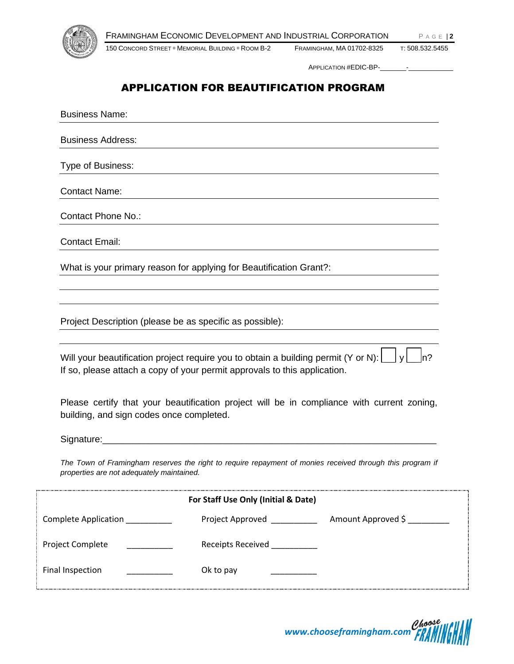

150 CONCORD STREET <sup>D</sup> MEMORIAL BUILDING <sup>D</sup> ROOM B-2 FRAMINGHAM, MA 01702-8325 T: 508.532.5455

APPLICATION #EDIC-BP-

## APPLICATION FOR BEAUTIFICATION PROGRAM

Business Name: Business Address: Type of Business: Contact Name: Contact Phone No.: Contact Email: What is your primary reason for applying for Beautification Grant?: Project Description (please be as specific as possible): Will your beautification project require you to obtain a building permit (Y or N):  $\|\cdot\|_y\|\cdot\|_p$ ? If so, please attach a copy of your permit approvals to this application. Please certify that your beautification project will be in compliance with current zoning, building, and sign codes once completed. Signature: The Town of Framingham reserves the right to require repayment of monies received through this program if *properties are not adequately maintained.* **For Staff Use Only (Initial & Date)** Complete Application \_\_\_\_\_\_\_\_\_\_\_\_\_\_\_\_\_\_\_\_\_\_Project Approved \_\_\_\_\_\_\_\_\_\_\_\_\_\_\_\_\_\_\_\_ Amount Approved \$ \_\_\_\_\_\_\_\_\_\_ Project Complete \_\_\_\_\_\_\_\_\_\_\_\_\_ Receipts Received \_\_\_\_\_\_\_\_\_\_\_ Final Inspection **Example 2** Ok to pay

*www.chooseframingham.com*